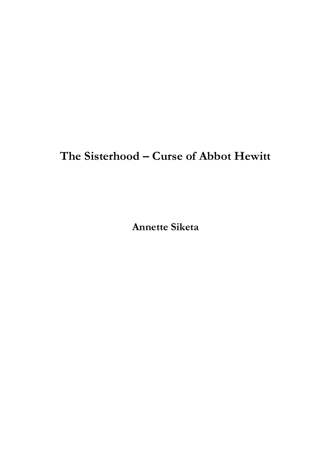## **The Sisterhood – Curse of Abbot Hewitt**

**Annette Siketa**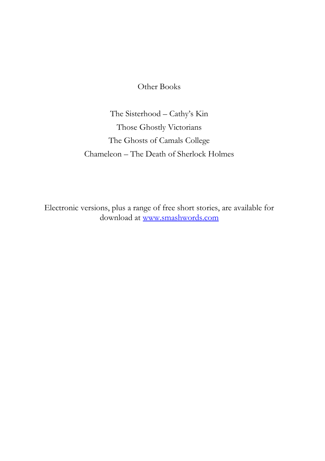Other Books

The Sisterhood – Cathy's Kin Those Ghostly Victorians The Ghosts of Camals College Chameleon – The Death of Sherlock Holmes

Electronic versions, plus a range of free short stories, are available for download at [www.smashwords.com](http://www.smashwords.com/)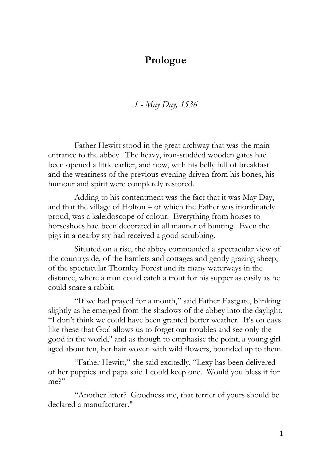## **Prologue**

*1 - May Day, 1536*

Father Hewitt stood in the great archway that was the main entrance to the abbey. The heavy, iron-studded wooden gates had been opened a little earlier, and now, with his belly full of breakfast and the weariness of the previous evening driven from his bones, his humour and spirit were completely restored.

Adding to his contentment was the fact that it was May Day, and that the village of Holton – of which the Father was inordinately proud, was a kaleidoscope of colour. Everything from horses to horseshoes had been decorated in all manner of bunting. Even the pigs in a nearby sty had received a good scrubbing.

Situated on a rise, the abbey commanded a spectacular view of the countryside, of the hamlets and cottages and gently grazing sheep, of the spectacular Thornley Forest and its many waterways in the distance, where a man could catch a trout for his supper as easily as he could snare a rabbit.

"If we had prayed for a month," said Father Eastgate, blinking slightly as he emerged from the shadows of the abbey into the daylight, "I don't think we could have been granted better weather. It's on days like these that God allows us to forget our troubles and see only the good in the world," and as though to emphasise the point, a young girl aged about ten, her hair woven with wild flowers, bounded up to them.

"Father Hewitt," she said excitedly, "Lexy has been delivered of her puppies and papa said I could keep one. Would you bless it for me?"

"Another litter? Goodness me, that terrier of yours should be declared a manufacturer."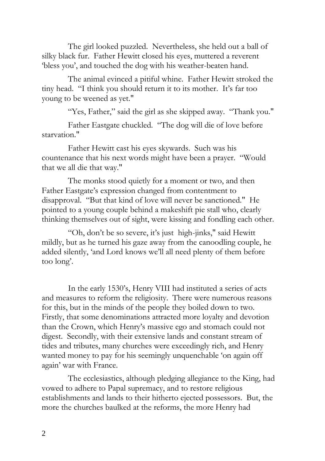The girl looked puzzled. Nevertheless, she held out a ball of silky black fur. Father Hewitt closed his eyes, muttered a reverent 'bless you', and touched the dog with his weather-beaten hand.

The animal evinced a pitiful whine. Father Hewitt stroked the tiny head. "I think you should return it to its mother. It's far too young to be weened as yet."

"Yes, Father," said the girl as she skipped away. "Thank you."

Father Eastgate chuckled. "The dog will die of love before starvation."

Father Hewitt cast his eyes skywards. Such was his countenance that his next words might have been a prayer. "Would that we all die that way."

The monks stood quietly for a moment or two, and then Father Eastgate's expression changed from contentment to disapproval. "But that kind of love will never be sanctioned." He pointed to a young couple behind a makeshift pie stall who, clearly thinking themselves out of sight, were kissing and fondling each other.

"Oh, don't be so severe, it's just high-jinks," said Hewitt mildly, but as he turned his gaze away from the canoodling couple, he added silently, 'and Lord knows we'll all need plenty of them before too long'.

In the early 1530's, Henry VIII had instituted a series of acts and measures to reform the religiosity. There were numerous reasons for this, but in the minds of the people they boiled down to two. Firstly, that some denominations attracted more loyalty and devotion than the Crown, which Henry's massive ego and stomach could not digest. Secondly, with their extensive lands and constant stream of tides and tributes, many churches were exceedingly rich, and Henry wanted money to pay for his seemingly unquenchable 'on again off again' war with France.

The ecclesiastics, although pledging allegiance to the King, had vowed to adhere to Papal supremacy, and to restore religious establishments and lands to their hitherto ejected possessors. But, the more the churches baulked at the reforms, the more Henry had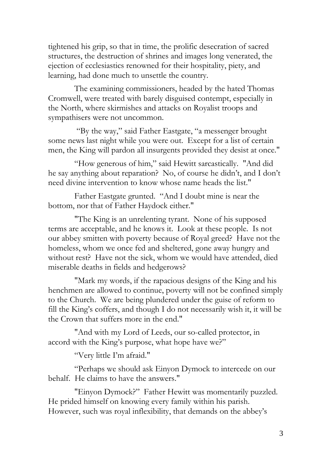tightened his grip, so that in time, the prolific desecration of sacred structures, the destruction of shrines and images long venerated, the ejection of ecclesiastics renowned for their hospitality, piety, and learning, had done much to unsettle the country.

The examining commissioners, headed by the hated Thomas Cromwell, were treated with barely disguised contempt, especially in the North, where skirmishes and attacks on Royalist troops and sympathisers were not uncommon.

"By the way," said Father Eastgate, "a messenger brought some news last night while you were out. Except for a list of certain men, the King will pardon all insurgents provided they desist at once."

"How generous of him," said Hewitt sarcastically. "And did he say anything about reparation? No, of course he didn't, and I don't need divine intervention to know whose name heads the list."

Father Eastgate grunted. "And I doubt mine is near the bottom, nor that of Father Haydock either."

"The King is an unrelenting tyrant. None of his supposed terms are acceptable, and he knows it. Look at these people. Is not our abbey smitten with poverty because of Royal greed? Have not the homeless, whom we once fed and sheltered, gone away hungry and without rest? Have not the sick, whom we would have attended, died miserable deaths in fields and hedgerows?

"Mark my words, if the rapacious designs of the King and his henchmen are allowed to continue, poverty will not be confined simply to the Church. We are being plundered under the guise of reform to fill the King's coffers, and though I do not necessarily wish it, it will be the Crown that suffers more in the end."

"And with my Lord of Leeds, our so-called protector, in accord with the King's purpose, what hope have we?"

"Very little I'm afraid."

"Perhaps we should ask Einyon Dymock to intercede on our behalf. He claims to have the answers."

"Einyon Dymock?" Father Hewitt was momentarily puzzled. He prided himself on knowing every family within his parish. However, such was royal inflexibility, that demands on the abbey's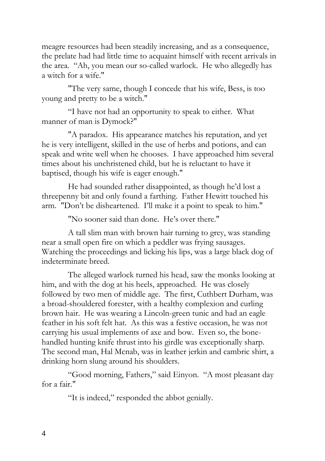meagre resources had been steadily increasing, and as a consequence, the prelate had had little time to acquaint himself with recent arrivals in the area. "Ah, you mean our so-called warlock. He who allegedly has a witch for a wife."

"The very same, though I concede that his wife, Bess, is too young and pretty to be a witch."

"I have not had an opportunity to speak to either. What manner of man is Dymock?"

"A paradox. His appearance matches his reputation, and yet he is very intelligent, skilled in the use of herbs and potions, and can speak and write well when he chooses. I have approached him several times about his unchristened child, but he is reluctant to have it baptised, though his wife is eager enough."

He had sounded rather disappointed, as though he'd lost a threepenny bit and only found a farthing. Father Hewitt touched his arm. "Don't be disheartened. I'll make it a point to speak to him."

"No sooner said than done. He's over there."

A tall slim man with brown hair turning to grey, was standing near a small open fire on which a peddler was frying sausages. Watching the proceedings and licking his lips, was a large black dog of indeterminate breed.

The alleged warlock turned his head, saw the monks looking at him, and with the dog at his heels, approached. He was closely followed by two men of middle age. The first, Cuthbert Durham, was a broad-shouldered forester, with a healthy complexion and curling brown hair. He was wearing a Lincoln-green tunic and had an eagle feather in his soft felt hat. As this was a festive occasion, he was not carrying his usual implements of axe and bow. Even so, the bonehandled hunting knife thrust into his girdle was exceptionally sharp. The second man, Hal Mcnab, was in leather jerkin and cambric shirt, a drinking horn slung around his shoulders.

"Good morning, Fathers," said Einyon. "A most pleasant day for a fair."

"It is indeed," responded the abbot genially.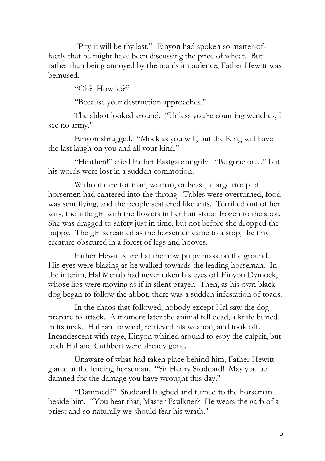"Pity it will be thy last." Einyon had spoken so matter-offactly that he might have been discussing the price of wheat. But rather than being annoyed by the man's impudence, Father Hewitt was bemused.

"Oh? How so?"

"Because your destruction approaches."

The abbot looked around. "Unless you're counting wenches, I see no army."

Einyon shrugged. "Mock as you will, but the King will have the last laugh on you and all your kind."

"Heathen!" cried Father Eastgate angrily. "Be gone or…" but his words were lost in a sudden commotion.

Without care for man, woman, or beast, a large troop of horsemen had cantered into the throng. Tables were overturned, food was sent flying, and the people scattered like ants. Terrified out of her wits, the little girl with the flowers in her hair stood frozen to the spot. She was dragged to safety just in time, but not before she dropped the puppy. The girl screamed as the horsemen came to a stop, the tiny creature obscured in a forest of legs and hooves.

Father Hewitt stared at the now pulpy mass on the ground. His eyes were blazing as he walked towards the leading horseman. In the interim, Hal Mcnab had never taken his eyes off Einyon Dymock, whose lips were moving as if in silent prayer. Then, as his own black dog began to follow the abbot, there was a sudden infestation of toads.

In the chaos that followed, nobody except Hal saw the dog prepare to attack. A moment later the animal fell dead, a knife buried in its neck. Hal ran forward, retrieved his weapon, and took off. Incandescent with rage, Einyon whirled around to espy the culprit, but both Hal and Cuthbert were already gone.

Unaware of what had taken place behind him, Father Hewitt glared at the leading horseman. "Sir Henry Stoddard! May you be damned for the damage you have wrought this day."

"Dammed?" Stoddard laughed and turned to the horseman beside him. "You hear that, Master Faulkner? He wears the garb of a priest and so naturally we should fear his wrath."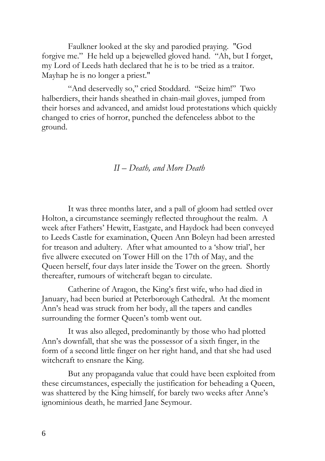Faulkner looked at the sky and parodied praying. "God forgive me." He held up a bejewelled gloved hand. "Ah, but I forget, my Lord of Leeds hath declared that he is to be tried as a traitor. Mayhap he is no longer a priest."

"And deservedly so," cried Stoddard. "Seize him!" Two halberdiers, their hands sheathed in chain-mail gloves, jumped from their horses and advanced, and amidst loud protestations which quickly changed to cries of horror, punched the defenceless abbot to the ground.

## *II – Death, and More Death*

It was three months later, and a pall of gloom had settled over Holton, a circumstance seemingly reflected throughout the realm. A week after Fathers' Hewitt, Eastgate, and Haydock had been conveyed to Leeds Castle for examination, Queen Ann Boleyn had been arrested for treason and adultery. After what amounted to a 'show trial', her five allwere executed on Tower Hill on the 17th of May, and the Queen herself, four days later inside the Tower on the green. Shortly thereafter, rumours of witchcraft began to circulate.

Catherine of Aragon, the King's first wife, who had died in January, had been buried at Peterborough Cathedral. At the moment Ann's head was struck from her body, all the tapers and candles surrounding the former Queen's tomb went out.

It was also alleged, predominantly by those who had plotted Ann's downfall, that she was the possessor of a sixth finger, in the form of a second little finger on her right hand, and that she had used witchcraft to ensnare the King.

But any propaganda value that could have been exploited from these circumstances, especially the justification for beheading a Queen, was shattered by the King himself, for barely two weeks after Anne's ignominious death, he married Jane Seymour.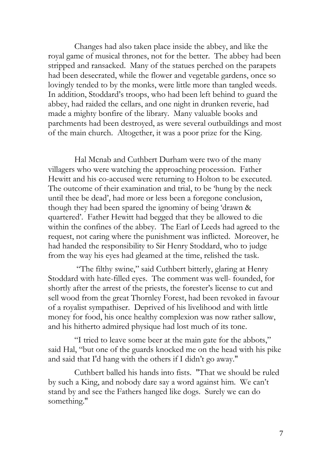Changes had also taken place inside the abbey, and like the royal game of musical thrones, not for the better. The abbey had been stripped and ransacked. Many of the statues perched on the parapets had been desecrated, while the flower and vegetable gardens, once so lovingly tended to by the monks, were little more than tangled weeds. In addition, Stoddard's troops, who had been left behind to guard the abbey, had raided the cellars, and one night in drunken reverie, had made a mighty bonfire of the library. Many valuable books and parchments had been destroyed, as were several outbuildings and most of the main church. Altogether, it was a poor prize for the King.

Hal Mcnab and Cuthbert Durham were two of the many villagers who were watching the approaching procession. Father Hewitt and his co-accused were returning to Holton to be executed. The outcome of their examination and trial, to be 'hung by the neck until thee be dead', had more or less been a foregone conclusion, though they had been spared the ignominy of being 'drawn & quartered'. Father Hewitt had begged that they be allowed to die within the confines of the abbey. The Earl of Leeds had agreed to the request, not caring where the punishment was inflicted. Moreover, he had handed the responsibility to Sir Henry Stoddard, who to judge from the way his eyes had gleamed at the time, relished the task.

"The filthy swine," said Cuthbert bitterly, glaring at Henry Stoddard with hate-filled eyes. The comment was well- founded, for shortly after the arrest of the priests, the forester's license to cut and sell wood from the great Thornley Forest, had been revoked in favour of a royalist sympathiser. Deprived of his livelihood and with little money for food, his once healthy complexion was now rather sallow, and his hitherto admired physique had lost much of its tone.

"I tried to leave some beer at the main gate for the abbots," said Hal, "but one of the guards knocked me on the head with his pike and said that I'd hang with the others if I didn't go away."

Cuthbert balled his hands into fists. "That we should be ruled by such a King, and nobody dare say a word against him. We can't stand by and see the Fathers hanged like dogs. Surely we can do something."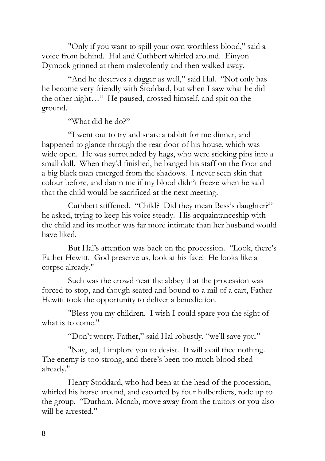"Only if you want to spill your own worthless blood," said a voice from behind. Hal and Cuthbert whirled around. Einyon Dymock grinned at them malevolently and then walked away.

"And he deserves a dagger as well," said Hal. "Not only has he become very friendly with Stoddard, but when I saw what he did the other night…" He paused, crossed himself, and spit on the ground.

"What did he do?"

"I went out to try and snare a rabbit for me dinner, and happened to glance through the rear door of his house, which was wide open. He was surrounded by hags, who were sticking pins into a small doll. When they'd finished, he banged his staff on the floor and a big black man emerged from the shadows. I never seen skin that colour before, and damn me if my blood didn't freeze when he said that the child would be sacrificed at the next meeting.

Cuthbert stiffened. "Child? Did they mean Bess's daughter?" he asked, trying to keep his voice steady. His acquaintanceship with the child and its mother was far more intimate than her husband would have liked.

But Hal's attention was back on the procession. "Look, there's Father Hewitt. God preserve us, look at his face! He looks like a corpse already."

Such was the crowd near the abbey that the procession was forced to stop, and though seated and bound to a rail of a cart, Father Hewitt took the opportunity to deliver a benediction.

"Bless you my children. I wish I could spare you the sight of what is to come."

"Don't worry, Father," said Hal robustly, "we'll save you."

"Nay, lad, I implore you to desist. It will avail thee nothing. The enemy is too strong, and there's been too much blood shed already."

Henry Stoddard, who had been at the head of the procession, whirled his horse around, and escorted by four halberdiers, rode up to the group. "Durham, Mcnab, move away from the traitors or you also will be arrested."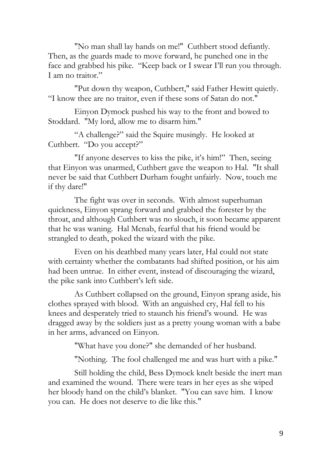"No man shall lay hands on me!" Cuthbert stood defiantly. Then, as the guards made to move forward, he punched one in the face and grabbed his pike. "Keep back or I swear I'll run you through. I am no traitor."

"Put down thy weapon, Cuthbert," said Father Hewitt quietly. "I know thee are no traitor, even if these sons of Satan do not."

Einyon Dymock pushed his way to the front and bowed to Stoddard. "My lord, allow me to disarm him."

"A challenge?" said the Squire musingly. He looked at Cuthbert. "Do you accept?"

"If anyone deserves to kiss the pike, it's him!" Then, seeing that Einyon was unarmed, Cuthbert gave the weapon to Hal. "It shall never be said that Cuthbert Durham fought unfairly. Now, touch me if thy dare!"

The fight was over in seconds. With almost superhuman quickness, Einyon sprang forward and grabbed the forester by the throat, and although Cuthbert was no slouch, it soon became apparent that he was waning. Hal Mcnab, fearful that his friend would be strangled to death, poked the wizard with the pike.

Even on his deathbed many years later, Hal could not state with certainty whether the combatants had shifted position, or his aim had been untrue. In either event, instead of discouraging the wizard, the pike sank into Cuthbert's left side.

As Cuthbert collapsed on the ground, Einyon sprang aside, his clothes sprayed with blood. With an anguished cry, Hal fell to his knees and desperately tried to staunch his friend's wound. He was dragged away by the soldiers just as a pretty young woman with a babe in her arms, advanced on Einyon.

"What have you done?" she demanded of her husband.

"Nothing. The fool challenged me and was hurt with a pike."

Still holding the child, Bess Dymock knelt beside the inert man and examined the wound. There were tears in her eyes as she wiped her bloody hand on the child's blanket. "You can save him. I know you can. He does not deserve to die like this."